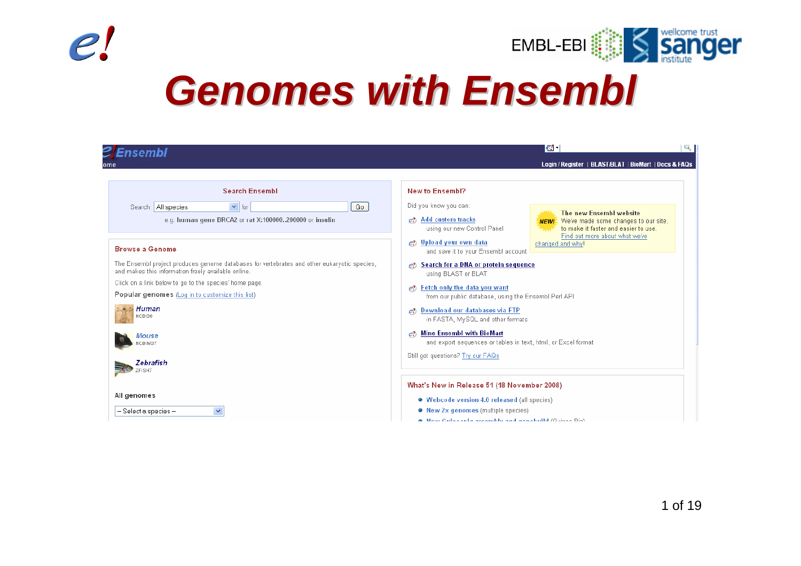



# *Genomes with Ensembl Genomes with Ensembl*

| <i><b>ZEnsembl</b></i>                                                                                                                                                                                                                                                                                                               | $\mathbf{c}$ .<br>$\sqrt{2}$                                                                                                                                                                                                                                                                                                                                                                                          |
|--------------------------------------------------------------------------------------------------------------------------------------------------------------------------------------------------------------------------------------------------------------------------------------------------------------------------------------|-----------------------------------------------------------------------------------------------------------------------------------------------------------------------------------------------------------------------------------------------------------------------------------------------------------------------------------------------------------------------------------------------------------------------|
| ome                                                                                                                                                                                                                                                                                                                                  | Login / Register   BLAST/BLAT   BioMart   Docs & FAQs                                                                                                                                                                                                                                                                                                                                                                 |
| <b>Search Ensembl</b><br>$\vert \mathbf{v} \vert$ for<br>Search: All species<br>Go<br>e.g. human gene BRCA2 or rat X:100000200000 or insulin                                                                                                                                                                                         | <b>New to Ensembl?</b><br>Did you know you can:<br>The new Ensembl website<br><b>Add custom tracks</b><br>e <sub>2</sub><br>We've made some changes to our site,<br><b>NEWI</b><br>to make it faster and easier to use.<br>using our new Control Panel<br>فاستعظ<br>Find out more about what we've                                                                                                                    |
| <b>Browse a Genome</b>                                                                                                                                                                                                                                                                                                               | e? Upload your own data<br>changed and why!<br>and save it to your Ensembl account                                                                                                                                                                                                                                                                                                                                    |
| The Ensembl project produces genome databases for vertebrates and other eukaryotic species,<br>and makes this information freely available online.<br>Click on a link below to go to the species' home page.<br><b>Popular genomes</b> (Log in to customize this list)<br>Human<br>NCBI36<br>Mouse<br>NCBIM37<br>Zebrafish<br>ZFISH7 | Search for a DNA or protein sequence<br>using BLAST or BLAT<br>Fetch only the data you want<br>$e$ ?<br>from our public database, using the Ensembl Perl API<br>Download our databases via FTP<br>$e$ <sup>2</sup><br>in FASTA, MySQL and other formats<br><b>Mine Ensembl with BioMart</b><br>$e$ <sup>2</sup><br>and export sequences or tables in text, html, or Excel format<br>Still got questions? Try our FAQs |
| All genomes<br>$\checkmark$<br>$-$ Select a species $-$                                                                                                                                                                                                                                                                              | What's New in Release 51 (18 November 2008)<br>• Webcode version 4.0 released (all species)<br>• New 2x genomes (multiple species)<br>A New Cuineania seconddu and aenobuild (Cuinea Die)                                                                                                                                                                                                                             |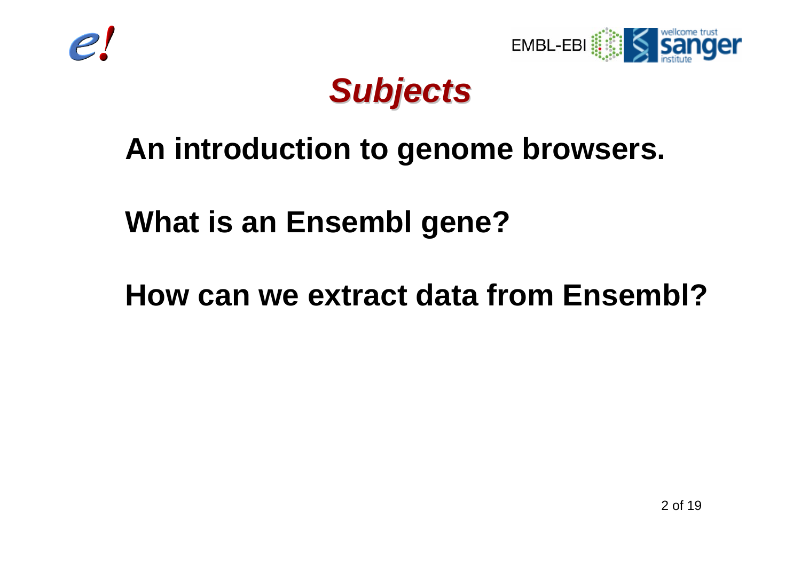



#### *Subjects Subjects*

#### **An introduction to genome browsers.**

**What is an Ensembl gene?**

**How can we extract data from Ensembl?**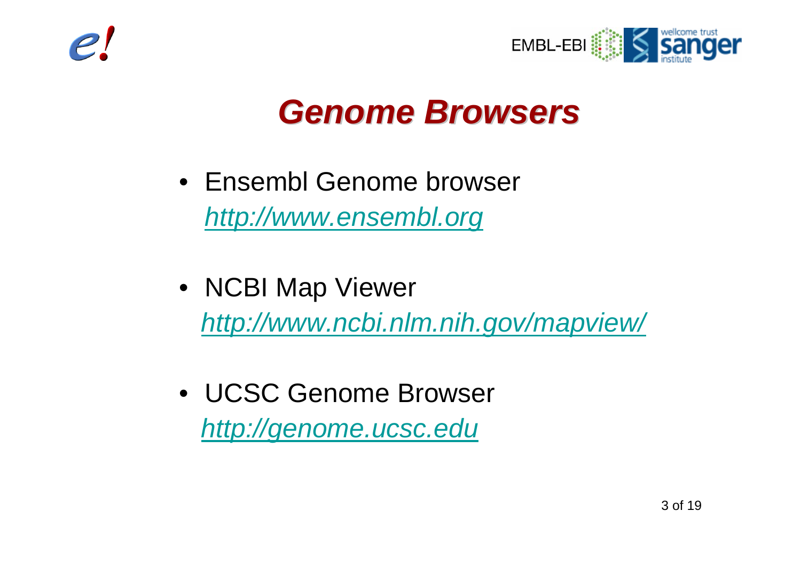



#### *Genome Browsers Genome Browsers*

- Ensembl Genome browser *http://www.ensembl.org*
- NCBI Map Viewer *http://www.ncbi.nlm.nih.gov/mapview/*
- UCSC Genome Browser *http://genome.ucsc.edu*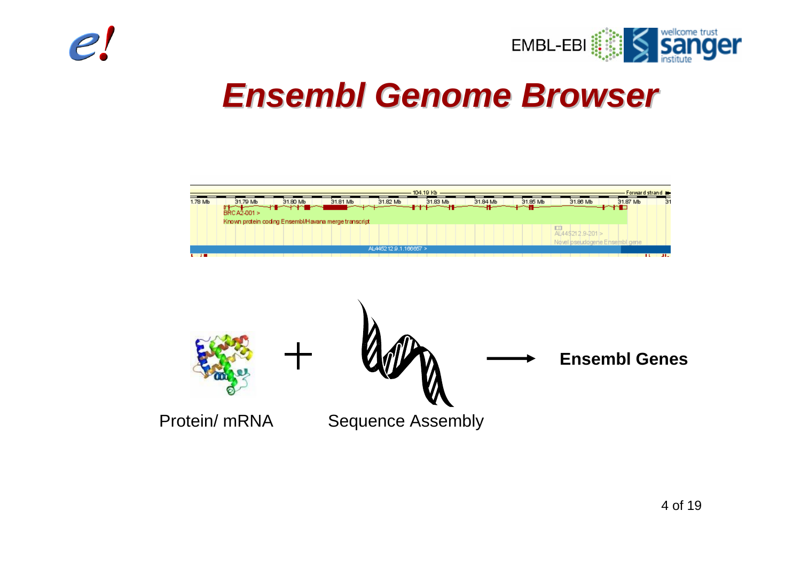



#### *Ensembl Genome Browser Ensembl Genome Browser*



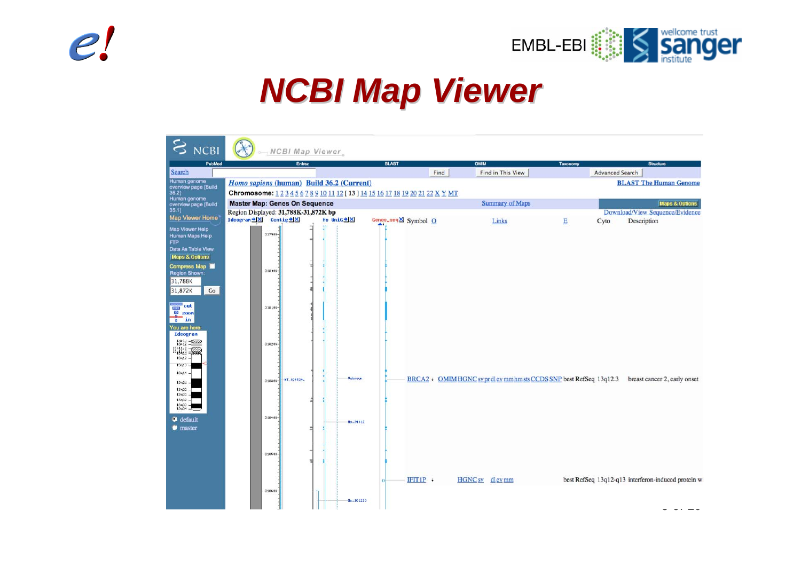



#### *NCBI Map Viewer NCBI Map Viewer*

| <b>S</b> NCBI                                                                                                            | NCBI Map Viewer                                                                 |                |                     |                           |                 |                                                                                                |
|--------------------------------------------------------------------------------------------------------------------------|---------------------------------------------------------------------------------|----------------|---------------------|---------------------------|-----------------|------------------------------------------------------------------------------------------------|
| PubMed                                                                                                                   | Entrez                                                                          |                | <b>BLAST</b>        | <b>OMIM</b>               | <b>Taxonomy</b> | Structure                                                                                      |
| <b>Search</b>                                                                                                            |                                                                                 |                | Find                | Find in This View         |                 | <b>Advanced Search</b>                                                                         |
| Human genome                                                                                                             | Homo sapiens (human) Build 36.2 (Current)                                       |                |                     |                           |                 | <b>BLAST The Human Genome</b>                                                                  |
| overview page (Build<br>36.2)                                                                                            | Chromosome: 1 2 3 4 5 6 7 8 9 10 11 12 [ 13 ] 14 15 16 17 18 19 20 21 22 X Y MT |                |                     |                           |                 |                                                                                                |
| Human genome<br>overview page (Build                                                                                     | <b>Master Map: Genes On Sequence</b>                                            |                |                     | <b>Summary of Maps</b>    |                 | <b>Maps &amp; Options</b>                                                                      |
| 35.1)                                                                                                                    | Region Displayed: 31,788K-31,872K bp                                            |                |                     |                           |                 | Download/View Sequence/Evidence                                                                |
| Map Viewer Home                                                                                                          | Ideogram <sup>+</sup> <b>X</b> Contig+ <b>X</b>                                 | Hs UniG * X    | Genes_seqX Symbol O | Links                     | E<br>Cyto       | Description                                                                                    |
| Map Viewer Help<br>Human Maps Help<br>FTP<br>Data As Table View<br><b>Maps &amp; Options</b>                             | 3179 OK-                                                                        | ⊐              |                     |                           |                 |                                                                                                |
| Compress Map<br><b>Region Shown:</b><br>31,788K<br>31,872K<br>Go                                                         | 31800K                                                                          |                |                     |                           |                 |                                                                                                |
| $\overline{\phantom{0}}$ out<br><b>EN ZOON</b><br>$\overline{a}$ in<br>You are here:<br>Ideogram                         | 31810K                                                                          |                |                     |                           |                 |                                                                                                |
| $\frac{13p}{13p}\frac{13}{12} - \frac{Q2777p}{42}$<br>$\frac{13p}{13q+11}$ $\frac{2}{3q+11}$<br>13q12<br>13q13.<br>13q14 | 31820K                                                                          |                |                     |                           |                 |                                                                                                |
| 13q21<br>$13q22 -$<br>$13q31 -$<br>13432.<br>13433<br>$13q34 =$                                                          | NT_024524.<br>31830K                                                            | <b>Unknown</b> |                     |                           |                 | BRCA2 + OMIMHGNC sv prdlev mm hm sts CCDS SNP best RefSeq 13q12.3 breast cancer 2, early onset |
| $\bullet$ default<br><b>naster</b>                                                                                       | 31840K<br>31850K                                                                | Hs.34012       |                     |                           |                 |                                                                                                |
|                                                                                                                          | 31860K                                                                          | Hs. 161220     | IFT1P               | HGNC <sub>sv</sub> dlevmm |                 | best RefSeq 13q12-q13 interferon-induced protein wi                                            |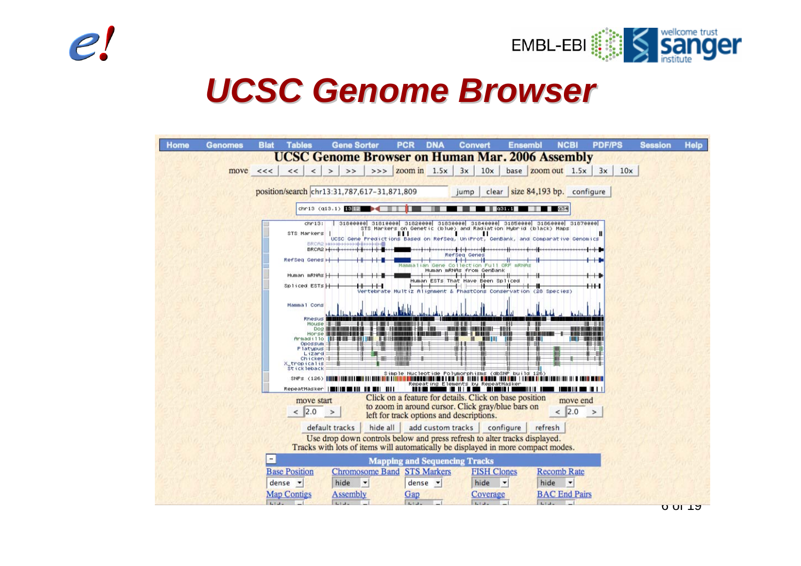



#### *UCSC Genome Browser UCSC Genome Browser*

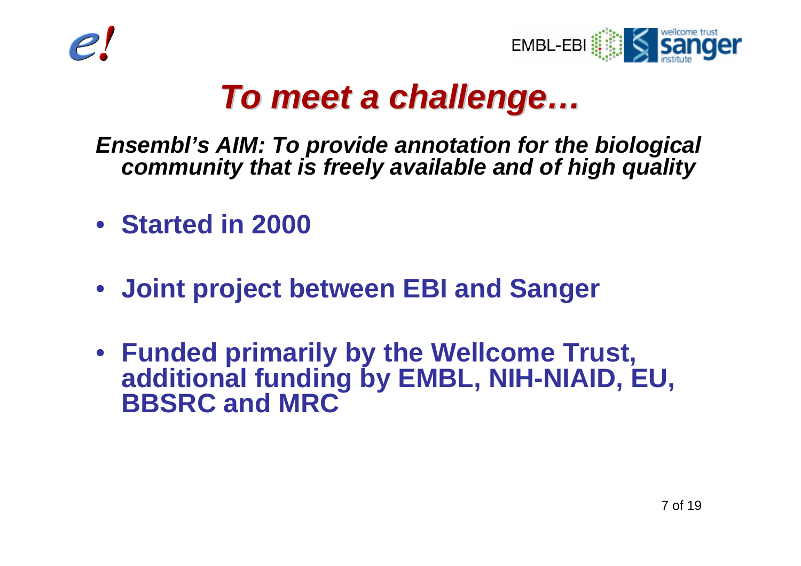



#### *To meet a challenge To meet a challenge …*

#### *Ensembl's AIM: To provide annotation for the biological community that is freely available and of high quality*

- **Started in 2000**
- **Joint project between EBI and Sanger**
- **Funded primarily by the Wellcome Trust, additional funding by EMBL, NIH-NIAID, EU, BBSRC and MRC**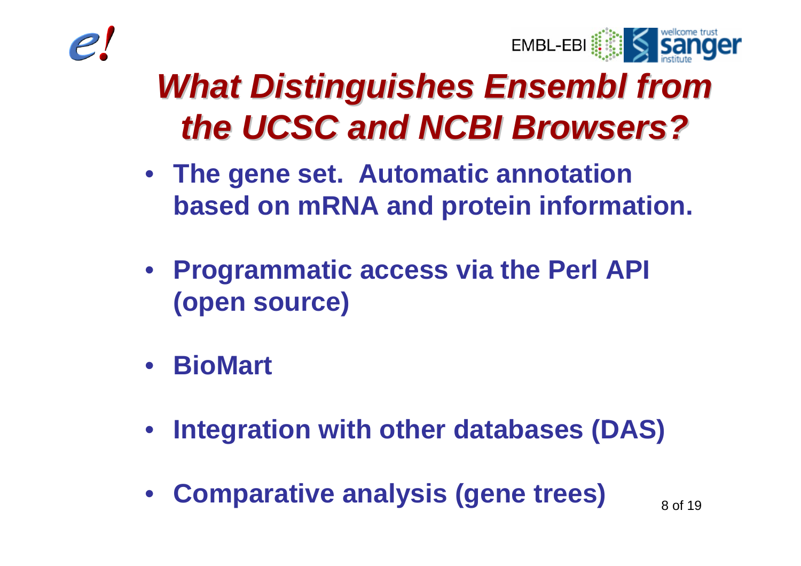



### **What Distinguishes Ensembl from** *the UCSC and NCBI Browsers? the UCSC and NCBI Browsers?*

- **The gene set. Automatic annotation based on mRNA and protein information.**
- **Programmatic access via the Perl API (open source)**
- **BioMart**
- $\bullet$ **Integration with other databases (DAS)**
- $\bullet$ **Comparative analysis (gene trees)**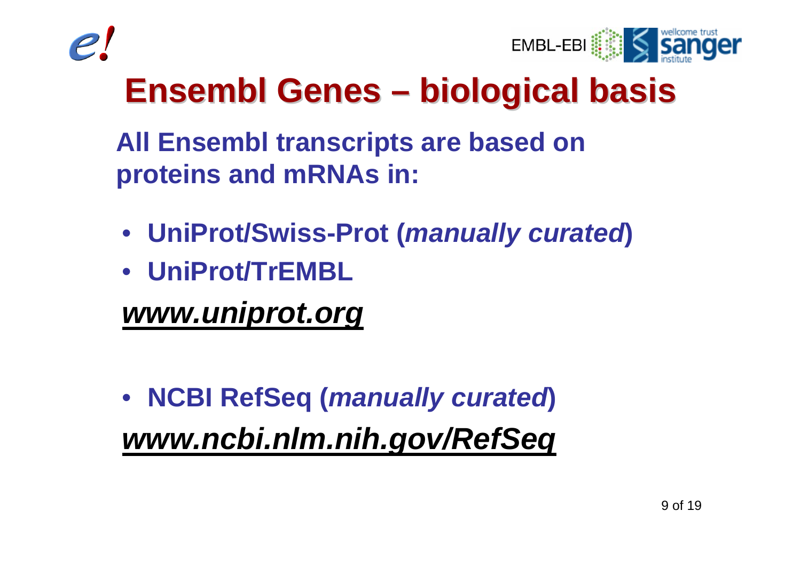



#### **Ensembl Genes biological basis biological basis**

**All Ensembl transcripts are based on proteins and mRNAs in:**

- **UniProt/Swiss-Prot (***manually curated***)**
- **UniProt/TrEMBL**

*www.uniprot.org*

• **NCBI RefSeq (***manually curated***)** *www.ncbi.nlm.nih.gov/RefSeq*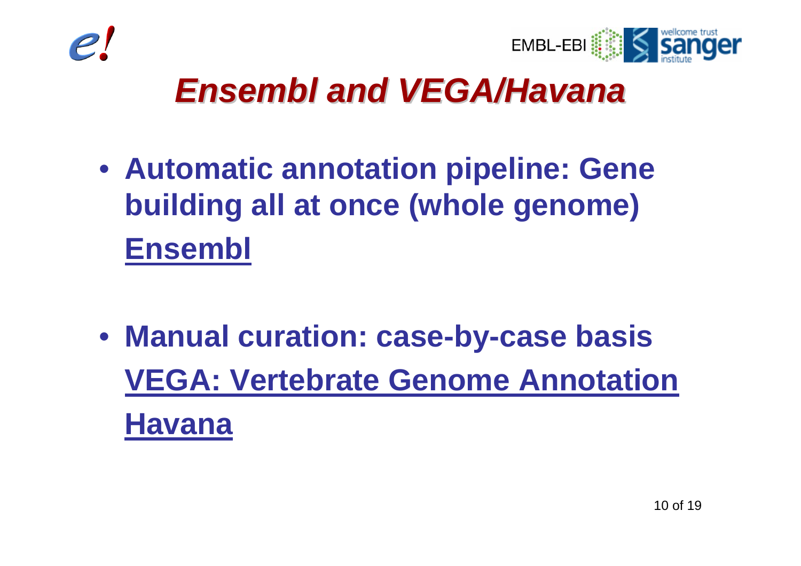



#### *Ensembl and VEGA/Havana Ensembl and VEGA/Havana*

- **Automatic annotation pipeline: Gene building all at once (whole genome) Ensembl**
- **Manual curation: case-by-case basis VEGA: Vertebrate Genome Annotation Havana**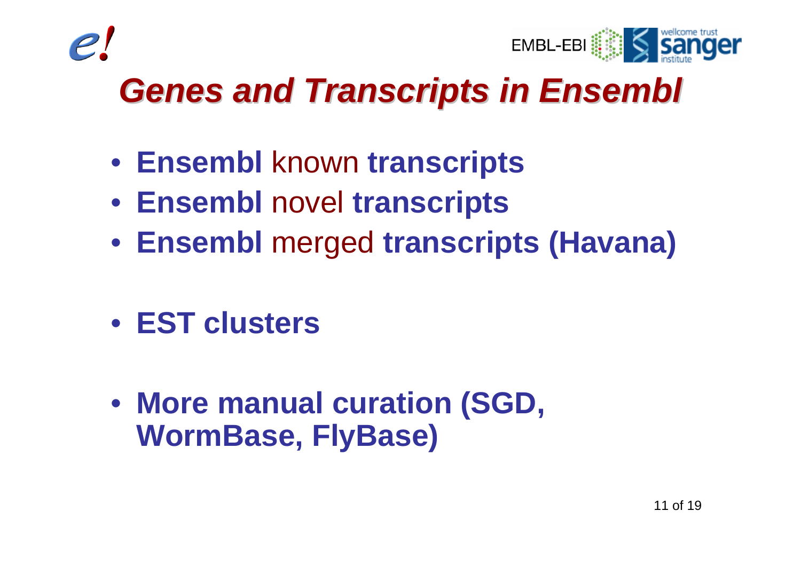



### *Genes and Transcripts in Ensembl Genes and Transcripts in Ensembl*

- **Ensembl** known **transcripts**
- **Ensembl** novel **transcripts**
- **Ensembl** merged **transcripts (Havana)**
- **EST clusters**
- **More manual curation (SGD, WormBase, FlyBase)**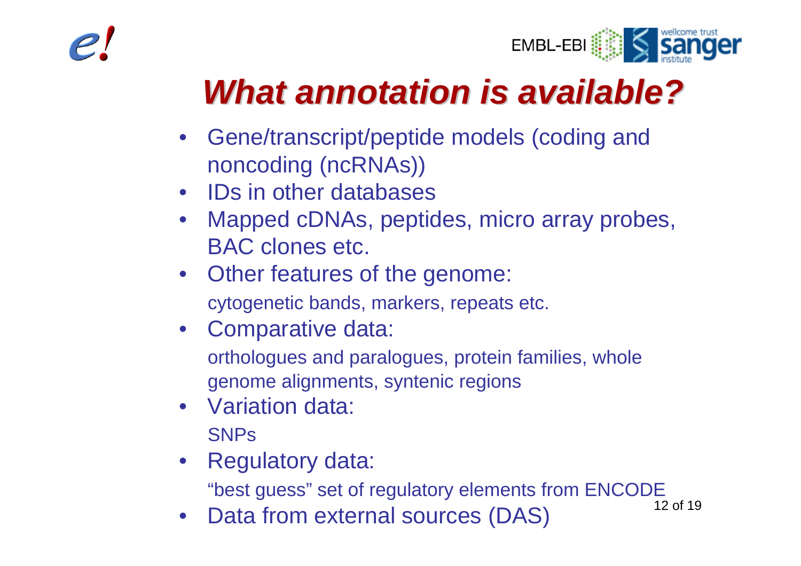



### *What annotation is available? What annotation is available?*

- • Gene/transcript/peptide models (coding and noncoding (ncRNAs))
- IDs in other databases
- • Mapped cDNAs, peptides, micro array probes, BAC clones etc.
- Other features of the genome:

cytogenetic bands, markers, repeats etc.

• Comparative data:

orthologues and paralogues, protein families, whole genome alignments, syntenic regions

- Variation data: **SNPs**
- Regulatory data:

"best guess" set of regulatory elements from ENCODE

• Data from external sources (DAS)

12 of 19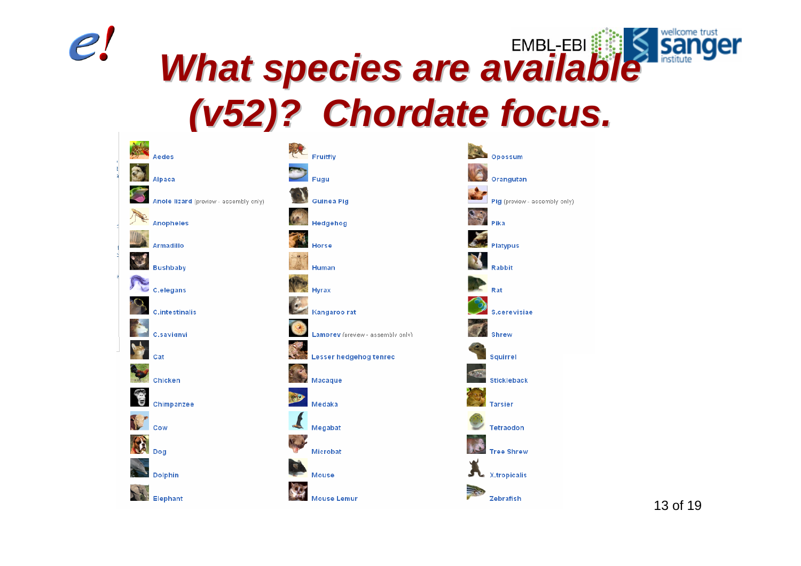

#### wellcome trust *What species are available What species are available*  **San** *(v52)? Chordate focus. (v52)? Chordate focus.*



13 of 19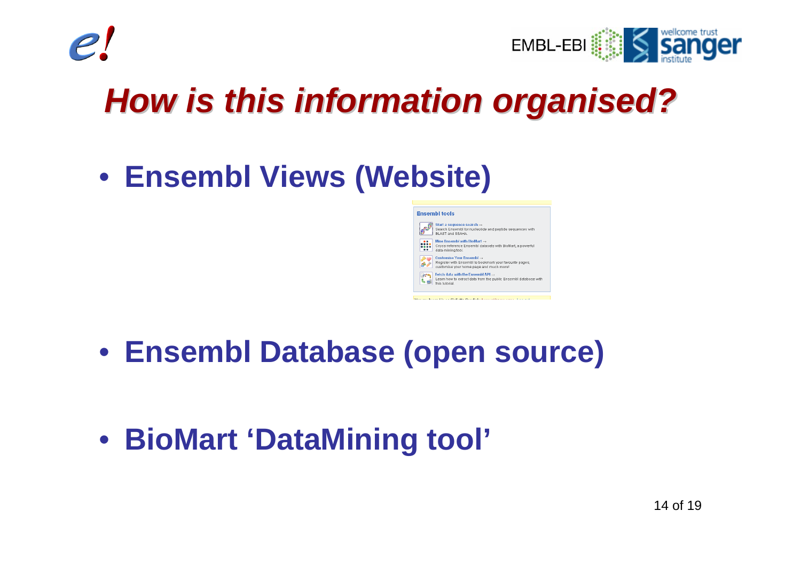



### *How is this information organised? How is this information organised?*

• **Ensembl Views (Website)**

#### **Ensembl tools**



- **Ensembl Database (open source)**
- **BioMart 'DataMining tool'**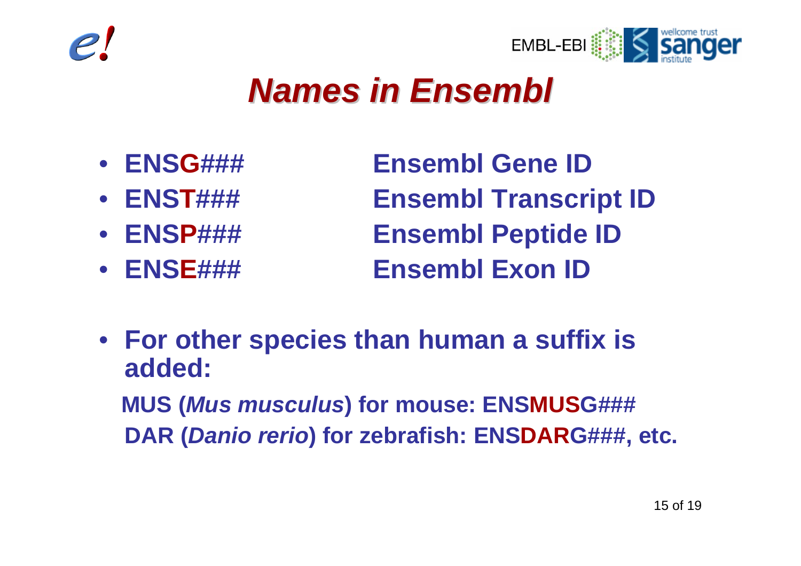



#### *Names in Ensembl Names in Ensembl*

- **ENS**
- **ENS**
- **ENS**
- **ENS**

**Ensembl Gene ID Ensembl Transcript ID Ensembl Peptide ID Ensembl Exon ID** 

• **For other species than human a suffix is added: MUS (***Mus musculus***) for mouse: ENSMUSG###** 

**DAR (***Danio rerio***) for zebrafish: ENSDARG###, etc.**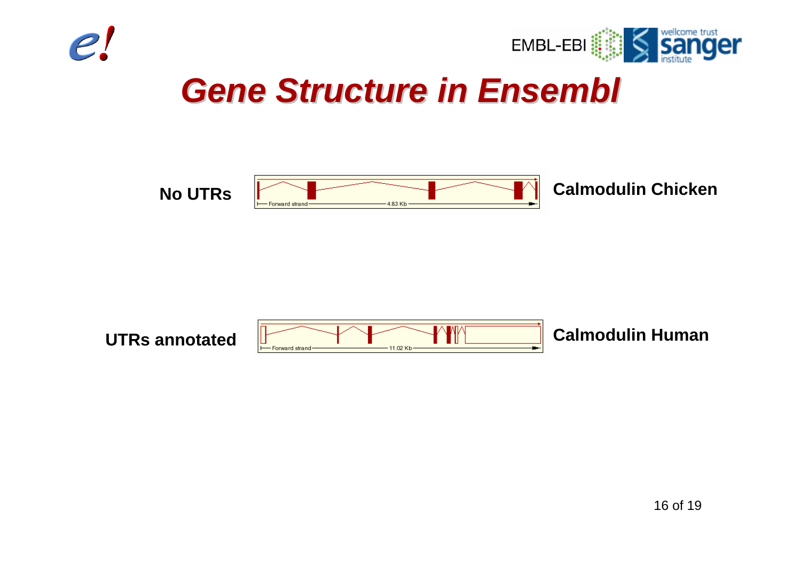



#### *Gene Structure in Ensembl Gene Structure in Ensembl*



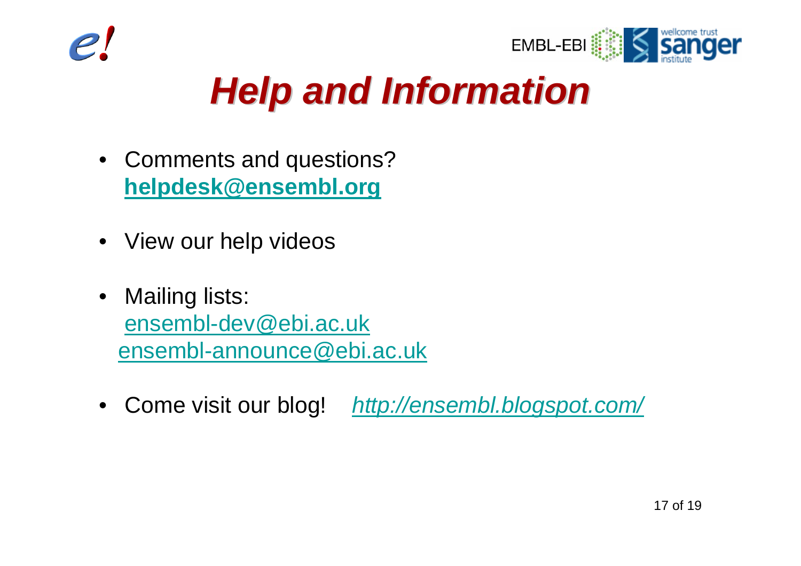



## *Help and Information Help and Information*

- Comments and questions? **helpdesk@ensembl.org**
- View our help videos
- $\bullet$  Mailing lists: ensembl-dev@ebi.ac.uk ensembl-announce@ebi.ac.uk
- Come visit our blog! *http://ensembl.blogspot.com/*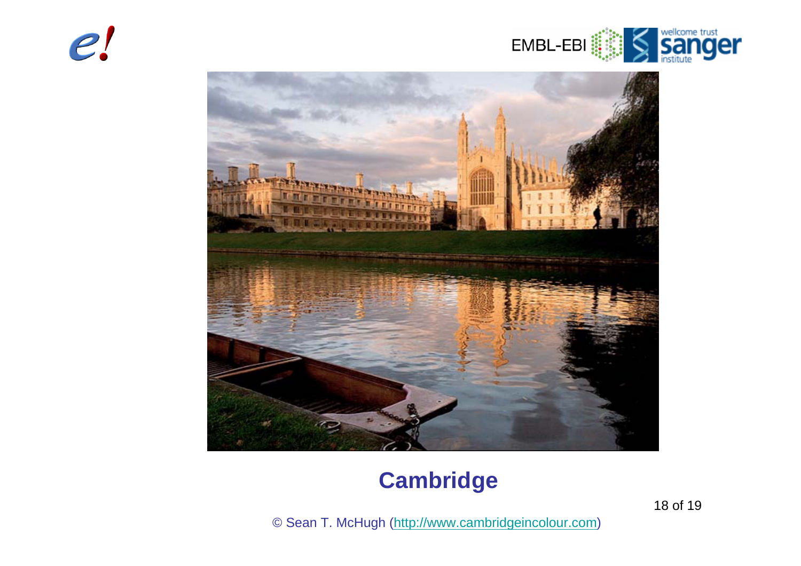



#### **Cambridge**

18 of 19

© Sean T. McHugh (http://www.cambridgeincolour.com)